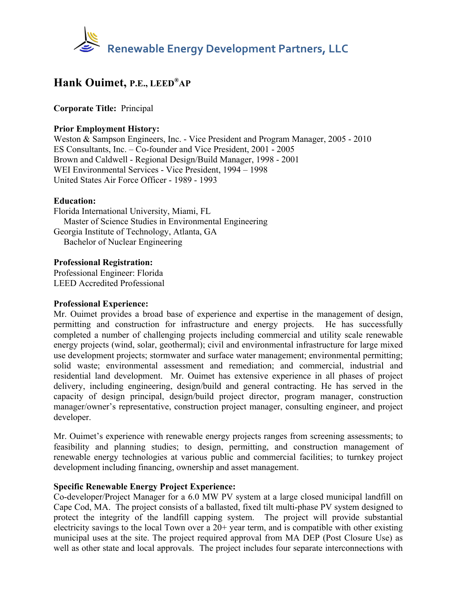

# **Hank Ouimet, P.E., LEED®AP**

**Corporate Title:** Principal

## **Prior Employment History:**

Weston & Sampson Engineers, Inc. - Vice President and Program Manager, 2005 - 2010 ES Consultants, Inc. – Co-founder and Vice President, 2001 - 2005 Brown and Caldwell - Regional Design/Build Manager, 1998 - 2001 WEI Environmental Services - Vice President, 1994 – 1998 United States Air Force Officer - 1989 - 1993

### **Education:**

Florida International University, Miami, FL Master of Science Studies in Environmental Engineering Georgia Institute of Technology, Atlanta, GA Bachelor of Nuclear Engineering

### **Professional Registration:**

Professional Engineer: Florida LEED Accredited Professional

### **Professional Experience:**

Mr. Ouimet provides a broad base of experience and expertise in the management of design, permitting and construction for infrastructure and energy projects. He has successfully completed a number of challenging projects including commercial and utility scale renewable energy projects (wind, solar, geothermal); civil and environmental infrastructure for large mixed use development projects; stormwater and surface water management; environmental permitting; solid waste; environmental assessment and remediation; and commercial, industrial and residential land development. Mr. Ouimet has extensive experience in all phases of project delivery, including engineering, design/build and general contracting. He has served in the capacity of design principal, design/build project director, program manager, construction manager/owner's representative, construction project manager, consulting engineer, and project developer.

Mr. Ouimet's experience with renewable energy projects ranges from screening assessments; to feasibility and planning studies; to design, permitting, and construction management of renewable energy technologies at various public and commercial facilities; to turnkey project development including financing, ownership and asset management.

### **Specific Renewable Energy Project Experience:**

Co-developer/Project Manager for a 6.0 MW PV system at a large closed municipal landfill on Cape Cod, MA. The project consists of a ballasted, fixed tilt multi-phase PV system designed to protect the integrity of the landfill capping system. The project will provide substantial electricity savings to the local Town over a  $20+$  year term, and is compatible with other existing municipal uses at the site. The project required approval from MA DEP (Post Closure Use) as well as other state and local approvals. The project includes four separate interconnections with